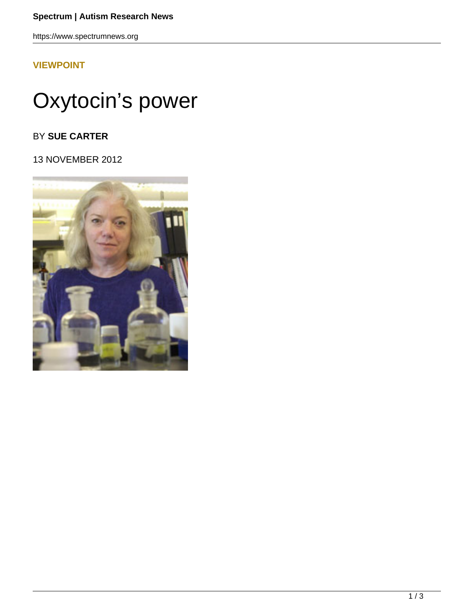### **Spectrum | Autism Research News**

https://www.spectrumnews.org

## **[VIEWPOINT](HTTPS://WWW.SPECTRUMNEWS.ORG/OPINION/VIEWPOINT/)**

# Oxytocin's power

## BY **SUE CARTER**

13 NOVEMBER 2012

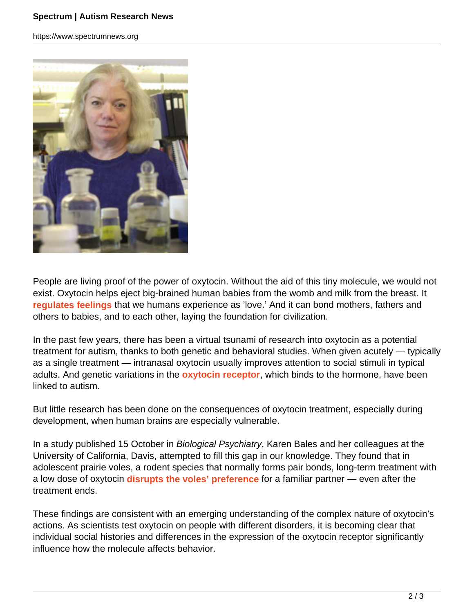### **Spectrum | Autism Research News**

https://www.spectrumnews.org



People are living proof of the power of oxytocin. Without the aid of this tiny molecule, we would not exist. Oxytocin helps eject big-brained human babies from the womb and milk from the breast. It **regulates feelings** that we humans experience as 'love.' And it can bond mothers, fathers and others to babies, and to each other, laying the foundation for civilization.

In the past few years, there has been a virtual tsunami of research into oxytocin as a potential treatment for autism, thanks to both genetic and behavioral studies. When given acutely — typically as a single treatment — intranasal oxytocin usually improves attention to social stimuli in typical adults. And genetic variations in the **oxytocin receptor**, which binds to the hormone, have been linked to autism.

But little research has been done on the consequences of oxytocin treatment, especially during development, when human brains are especially vulnerable.

In a study published 15 October in Biological Psychiatry, Karen Bales and her colleagues at the University of California, Davis, attempted to fill this gap in our knowledge. They found that in adolescent prairie voles, a rodent species that normally forms pair bonds, long-term treatment with a low dose of oxytocin **disrupts the voles' preference** for a familiar partner — even after the treatment ends.

These findings are consistent with an emerging understanding of the complex nature of oxytocin's actions. As scientists test oxytocin on people with different disorders, it is becoming clear that individual social histories and differences in the expression of the oxytocin receptor significantly influence how the molecule affects behavior.